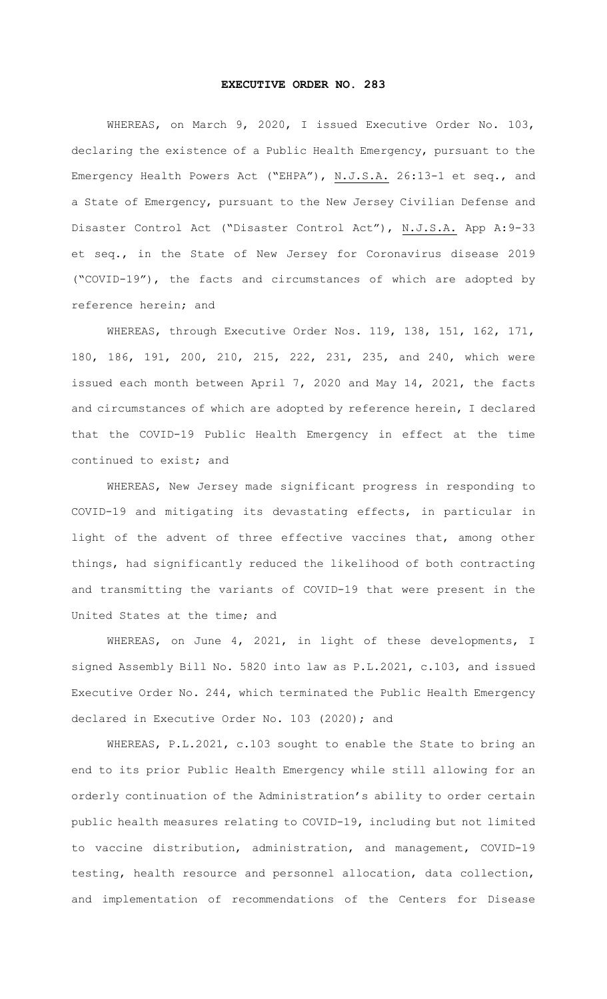## **EXECUTIVE ORDER NO. 283**

WHEREAS, on March 9, 2020, I issued Executive Order No. 103, declaring the existence of a Public Health Emergency, pursuant to the Emergency Health Powers Act ("EHPA"), N.J.S.A. 26:13-1 et seq., and a State of Emergency, pursuant to the New Jersey Civilian Defense and Disaster Control Act ("Disaster Control Act"), N.J.S.A. App A:9-33 et seq., in the State of New Jersey for Coronavirus disease 2019 ("COVID-19"), the facts and circumstances of which are adopted by reference herein; and

WHEREAS, through Executive Order Nos. 119, 138, 151, 162, 171, 180, 186, 191, 200, 210, 215, 222, 231, 235, and 240, which were issued each month between April 7, 2020 and May 14, 2021, the facts and circumstances of which are adopted by reference herein, I declared that the COVID-19 Public Health Emergency in effect at the time continued to exist; and

WHEREAS, New Jersey made significant progress in responding to COVID-19 and mitigating its devastating effects, in particular in light of the advent of three effective vaccines that, among other things, had significantly reduced the likelihood of both contracting and transmitting the variants of COVID-19 that were present in the United States at the time; and

WHEREAS, on June 4, 2021, in light of these developments, I signed Assembly Bill No. 5820 into law as P.L.2021, c.103, and issued Executive Order No. 244, which terminated the Public Health Emergency declared in Executive Order No. 103 (2020); and

WHEREAS, P.L.2021, c.103 sought to enable the State to bring an end to its prior Public Health Emergency while still allowing for an orderly continuation of the Administration's ability to order certain public health measures relating to COVID-19, including but not limited to vaccine distribution, administration, and management, COVID-19 testing, health resource and personnel allocation, data collection, and implementation of recommendations of the Centers for Disease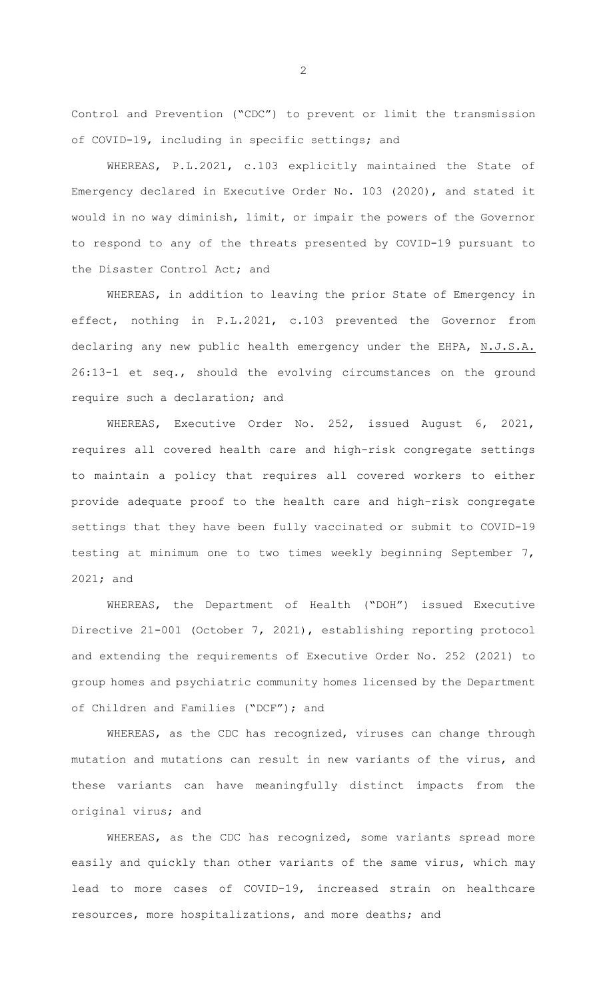Control and Prevention ("CDC") to prevent or limit the transmission of COVID-19, including in specific settings; and

WHEREAS, P.L.2021, c.103 explicitly maintained the State of Emergency declared in Executive Order No. 103 (2020), and stated it would in no way diminish, limit, or impair the powers of the Governor to respond to any of the threats presented by COVID-19 pursuant to the Disaster Control Act; and

WHEREAS, in addition to leaving the prior State of Emergency in effect, nothing in P.L.2021, c.103 prevented the Governor from declaring any new public health emergency under the EHPA, N.J.S.A. 26:13-1 et seq., should the evolving circumstances on the ground require such a declaration; and

WHEREAS, Executive Order No. 252, issued August 6, 2021, requires all covered health care and high-risk congregate settings to maintain a policy that requires all covered workers to either provide adequate proof to the health care and high-risk congregate settings that they have been fully vaccinated or submit to COVID-19 testing at minimum one to two times weekly beginning September 7, 2021; and

WHEREAS, the Department of Health ("DOH") issued Executive Directive 21-001 (October 7, 2021), establishing reporting protocol and extending the requirements of Executive Order No. 252 (2021) to group homes and psychiatric community homes licensed by the Department of Children and Families ("DCF"); and

WHEREAS, as the CDC has recognized, viruses can change through mutation and mutations can result in new variants of the virus, and these variants can have meaningfully distinct impacts from the original virus; and

WHEREAS, as the CDC has recognized, some variants spread more easily and quickly than other variants of the same virus, which may lead to more cases of COVID-19, increased strain on healthcare resources, more hospitalizations, and more deaths; and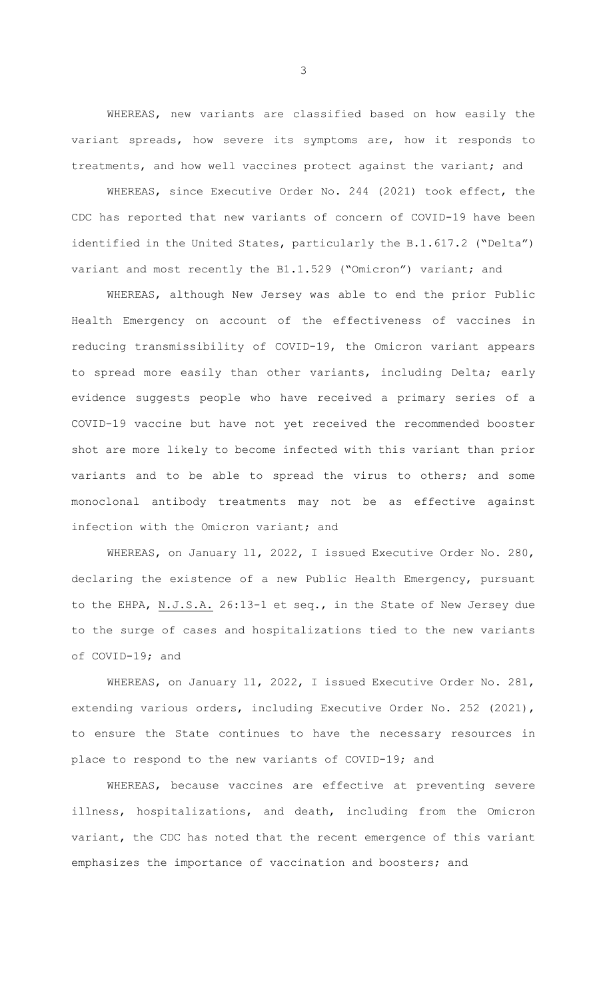WHEREAS, new variants are classified based on how easily the variant spreads, how severe its symptoms are, how it responds to treatments, and how well vaccines protect against the variant; and

WHEREAS, since Executive Order No. 244 (2021) took effect, the CDC has reported that new variants of concern of COVID-19 have been identified in the United States, particularly the B.1.617.2 ("Delta") variant and most recently the B1.1.529 ("Omicron") variant; and

WHEREAS, although New Jersey was able to end the prior Public Health Emergency on account of the effectiveness of vaccines in reducing transmissibility of COVID-19, the Omicron variant appears to spread more easily than other variants, including Delta; early evidence suggests people who have received a primary series of a COVID-19 vaccine but have not yet received the recommended booster shot are more likely to become infected with this variant than prior variants and to be able to spread the virus to others; and some monoclonal antibody treatments may not be as effective against infection with the Omicron variant; and

WHEREAS, on January 11, 2022, I issued Executive Order No. 280, declaring the existence of a new Public Health Emergency, pursuant to the EHPA, N.J.S.A. 26:13-1 et seq., in the State of New Jersey due to the surge of cases and hospitalizations tied to the new variants of COVID-19; and

WHEREAS, on January 11, 2022, I issued Executive Order No. 281, extending various orders, including Executive Order No. 252 (2021), to ensure the State continues to have the necessary resources in place to respond to the new variants of COVID-19; and

WHEREAS, because vaccines are effective at preventing severe illness, hospitalizations, and death, including from the Omicron variant, the CDC has noted that the recent emergence of this variant emphasizes the importance of vaccination and boosters; and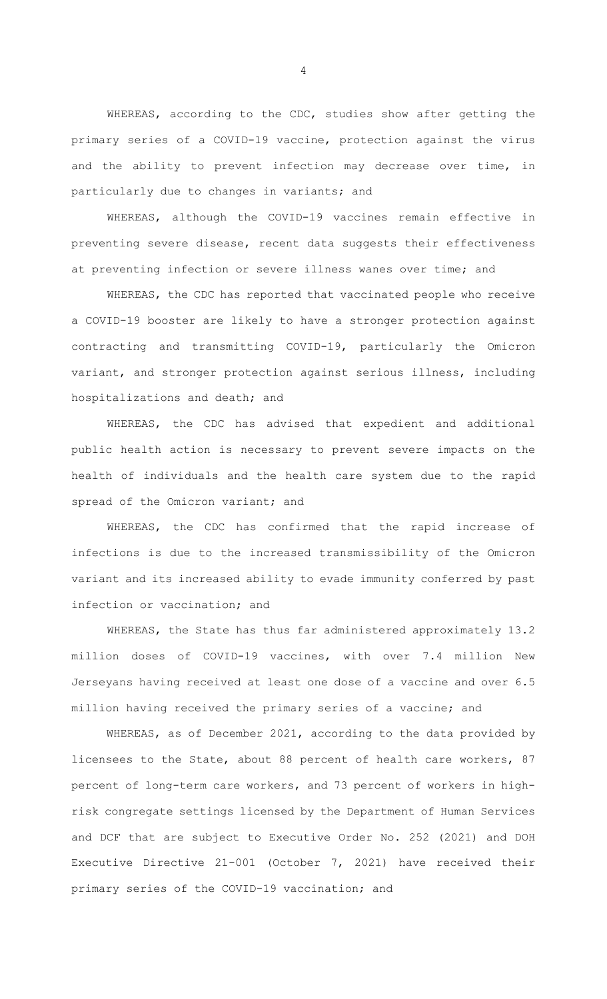WHEREAS, according to the CDC, studies show after getting the primary series of a COVID-19 vaccine, protection against the virus and the ability to prevent infection may decrease over time, in particularly due to changes in variants; and

WHEREAS, although the COVID-19 vaccines remain effective in preventing severe disease, recent data suggests their effectiveness at preventing infection or severe illness wanes over time; and

WHEREAS, the CDC has reported that vaccinated people who receive a COVID-19 booster are likely to have a stronger protection against contracting and transmitting COVID-19, particularly the Omicron variant, and stronger protection against serious illness, including hospitalizations and death; and

WHEREAS, the CDC has advised that expedient and additional public health action is necessary to prevent severe impacts on the health of individuals and the health care system due to the rapid spread of the Omicron variant; and

WHEREAS, the CDC has confirmed that the rapid increase of infections is due to the increased transmissibility of the Omicron variant and its increased ability to evade immunity conferred by past infection or vaccination; and

WHEREAS, the State has thus far administered approximately 13.2 million doses of COVID-19 vaccines, with over 7.4 million New Jerseyans having received at least one dose of a vaccine and over 6.5 million having received the primary series of a vaccine; and

WHEREAS, as of December 2021, according to the data provided by licensees to the State, about 88 percent of health care workers, 87 percent of long-term care workers, and 73 percent of workers in highrisk congregate settings licensed by the Department of Human Services and DCF that are subject to Executive Order No. 252 (2021) and DOH Executive Directive 21-001 (October 7, 2021) have received their primary series of the COVID-19 vaccination; and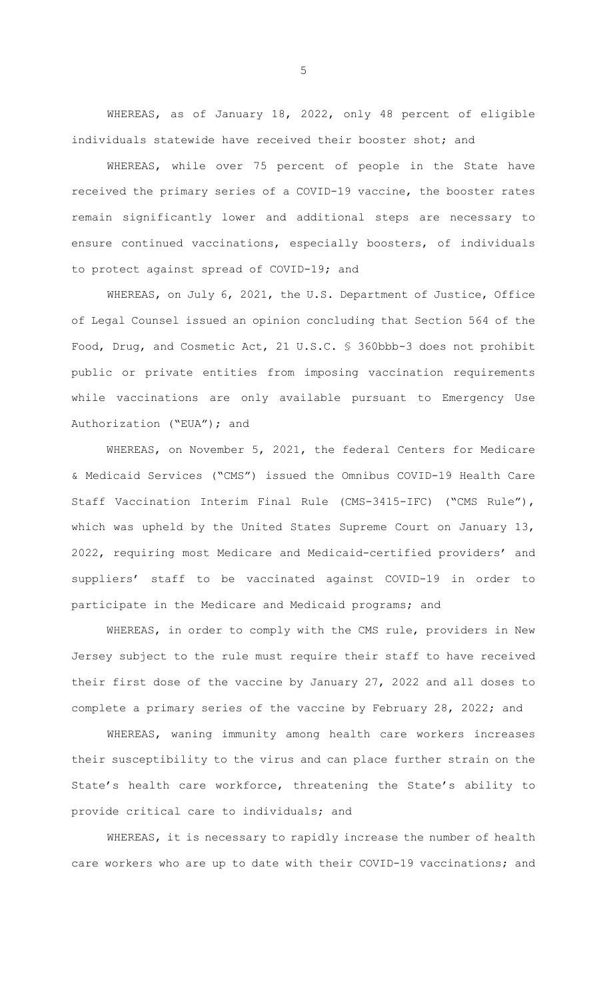WHEREAS, as of January 18, 2022, only 48 percent of eligible individuals statewide have received their booster shot; and

WHEREAS, while over 75 percent of people in the State have received the primary series of a COVID-19 vaccine, the booster rates remain significantly lower and additional steps are necessary to ensure continued vaccinations, especially boosters, of individuals to protect against spread of COVID-19; and

WHEREAS, on July 6, 2021, the U.S. Department of Justice, Office of Legal Counsel issued an opinion concluding that Section 564 of the Food, Drug, and Cosmetic Act, 21 U.S.C. § 360bbb-3 does not prohibit public or private entities from imposing vaccination requirements while vaccinations are only available pursuant to Emergency Use Authorization ("EUA"); and

WHEREAS, on November 5, 2021, the federal Centers for Medicare & Medicaid Services ("CMS") issued the Omnibus COVID-19 Health Care Staff Vaccination Interim Final Rule (CMS-3415-IFC) ("CMS Rule"), which was upheld by the United States Supreme Court on January 13, 2022, requiring most Medicare and Medicaid-certified providers' and suppliers' staff to be vaccinated against COVID-19 in order to participate in the Medicare and Medicaid programs; and

WHEREAS, in order to comply with the CMS rule, providers in New Jersey subject to the rule must require their staff to have received their first dose of the vaccine by January 27, 2022 and all doses to complete a primary series of the vaccine by February 28, 2022; and

WHEREAS, waning immunity among health care workers increases their susceptibility to the virus and can place further strain on the State's health care workforce, threatening the State's ability to provide critical care to individuals; and

WHEREAS, it is necessary to rapidly increase the number of health care workers who are up to date with their COVID-19 vaccinations; and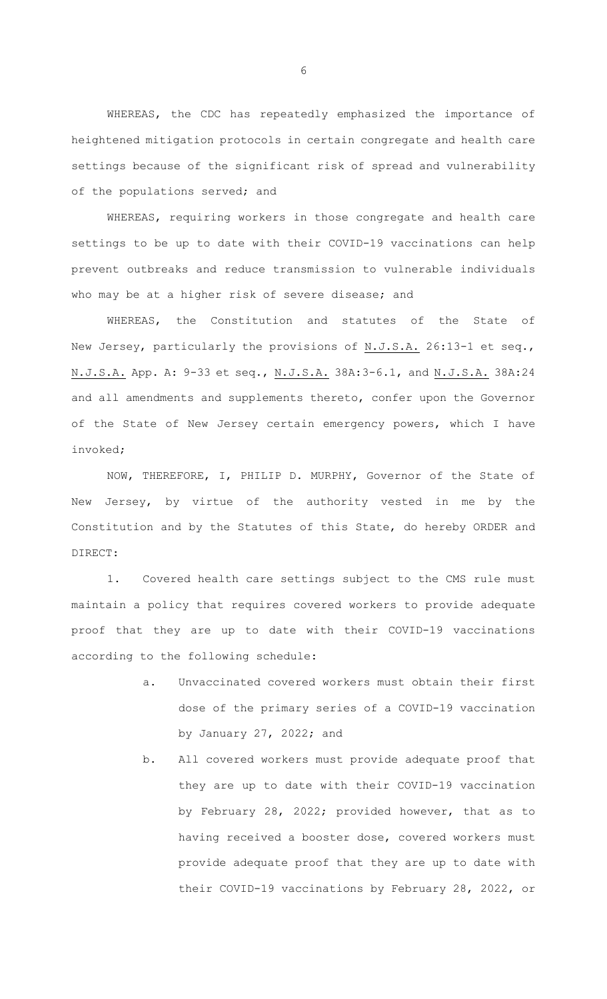WHEREAS, the CDC has repeatedly emphasized the importance of heightened mitigation protocols in certain congregate and health care settings because of the significant risk of spread and vulnerability of the populations served; and

WHEREAS, requiring workers in those congregate and health care settings to be up to date with their COVID-19 vaccinations can help prevent outbreaks and reduce transmission to vulnerable individuals who may be at a higher risk of severe disease; and

WHEREAS, the Constitution and statutes of the State of New Jersey, particularly the provisions of N.J.S.A. 26:13-1 et seq., N.J.S.A. App. A: 9-33 et seq., N.J.S.A. 38A:3-6.1, and N.J.S.A. 38A:24 and all amendments and supplements thereto, confer upon the Governor of the State of New Jersey certain emergency powers, which I have invoked;

NOW, THEREFORE, I, PHILIP D. MURPHY, Governor of the State of New Jersey, by virtue of the authority vested in me by the Constitution and by the Statutes of this State, do hereby ORDER and DIRECT:

1. Covered health care settings subject to the CMS rule must maintain a policy that requires covered workers to provide adequate proof that they are up to date with their COVID-19 vaccinations according to the following schedule:

- a. Unvaccinated covered workers must obtain their first dose of the primary series of a COVID-19 vaccination by January 27, 2022; and
- b. All covered workers must provide adequate proof that they are up to date with their COVID-19 vaccination by February 28, 2022; provided however, that as to having received a booster dose, covered workers must provide adequate proof that they are up to date with their COVID-19 vaccinations by February 28, 2022, or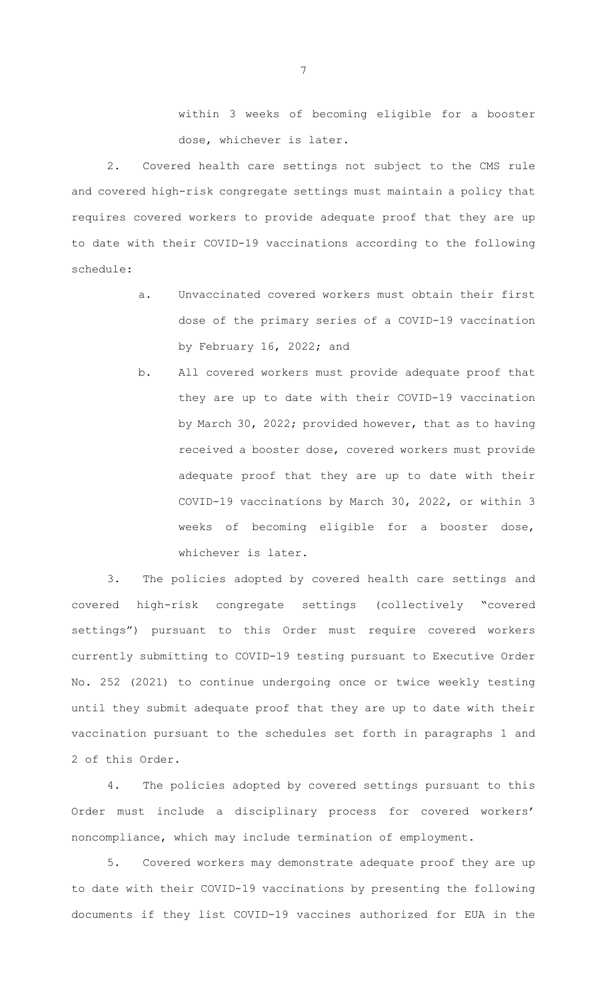within 3 weeks of becoming eligible for a booster dose, whichever is later.

2. Covered health care settings not subject to the CMS rule and covered high-risk congregate settings must maintain a policy that requires covered workers to provide adequate proof that they are up to date with their COVID-19 vaccinations according to the following schedule:

- a. Unvaccinated covered workers must obtain their first dose of the primary series of a COVID-19 vaccination by February 16, 2022; and
- b. All covered workers must provide adequate proof that they are up to date with their COVID-19 vaccination by March 30, 2022; provided however, that as to having received a booster dose, covered workers must provide adequate proof that they are up to date with their COVID-19 vaccinations by March 30, 2022, or within 3 weeks of becoming eligible for a booster dose, whichever is later.

3. The policies adopted by covered health care settings and covered high-risk congregate settings (collectively "covered settings") pursuant to this Order must require covered workers currently submitting to COVID-19 testing pursuant to Executive Order No. 252 (2021) to continue undergoing once or twice weekly testing until they submit adequate proof that they are up to date with their vaccination pursuant to the schedules set forth in paragraphs 1 and 2 of this Order.

4. The policies adopted by covered settings pursuant to this Order must include a disciplinary process for covered workers' noncompliance, which may include termination of employment.

5. Covered workers may demonstrate adequate proof they are up to date with their COVID-19 vaccinations by presenting the following documents if they list COVID-19 vaccines authorized for EUA in the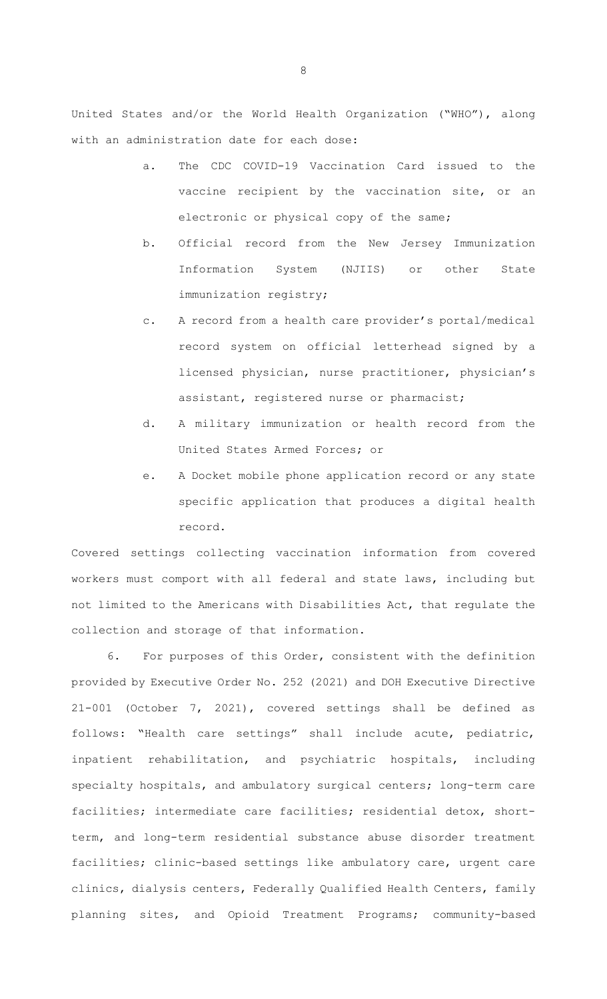United States and/or the World Health Organization ("WHO"), along with an administration date for each dose:

- a. The CDC COVID-19 Vaccination Card issued to the vaccine recipient by the vaccination site, or an electronic or physical copy of the same;
- b. Official record from the New Jersey Immunization Information System (NJIIS) or other State immunization registry;
- c. A record from a health care provider's portal/medical record system on official letterhead signed by a licensed physician, nurse practitioner, physician's assistant, registered nurse or pharmacist;
- d. A military immunization or health record from the United States Armed Forces; or
- e. A Docket mobile phone application record or any state specific application that produces a digital health record.

Covered settings collecting vaccination information from covered workers must comport with all federal and state laws, including but not limited to the Americans with Disabilities Act, that regulate the collection and storage of that information.

6. For purposes of this Order, consistent with the definition provided by Executive Order No. 252 (2021) and DOH Executive Directive 21-001 (October 7, 2021), covered settings shall be defined as follows: "Health care settings" shall include acute, pediatric, inpatient rehabilitation, and psychiatric hospitals, including specialty hospitals, and ambulatory surgical centers; long-term care facilities; intermediate care facilities; residential detox, shortterm, and long-term residential substance abuse disorder treatment facilities; clinic-based settings like ambulatory care, urgent care clinics, dialysis centers, Federally Qualified Health Centers, family planning sites, and Opioid Treatment Programs; community-based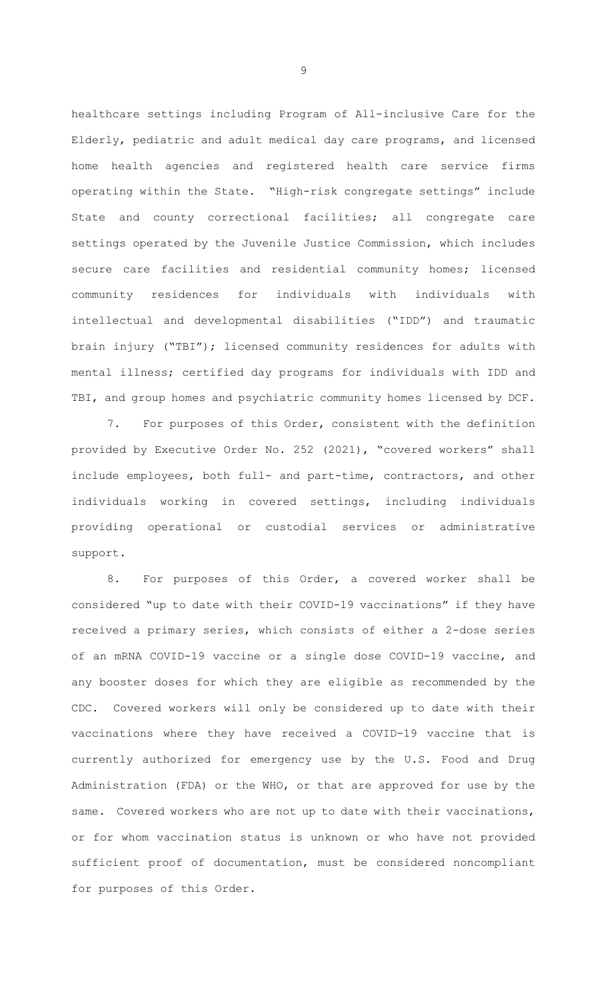healthcare settings including Program of All-inclusive Care for the Elderly, pediatric and adult medical day care programs, and licensed home health agencies and registered health care service firms operating within the State. "High-risk congregate settings" include State and county correctional facilities; all congregate care settings operated by the Juvenile Justice Commission, which includes secure care facilities and residential community homes; licensed community residences for individuals with individuals with intellectual and developmental disabilities ("IDD") and traumatic brain injury ("TBI"); licensed community residences for adults with mental illness; certified day programs for individuals with IDD and TBI, and group homes and psychiatric community homes licensed by DCF.

7. For purposes of this Order, consistent with the definition provided by Executive Order No. 252 (2021), "covered workers" shall include employees, both full- and part-time, contractors, and other individuals working in covered settings, including individuals providing operational or custodial services or administrative support.

8. For purposes of this Order, a covered worker shall be considered "up to date with their COVID-19 vaccinations" if they have received a primary series, which consists of either a 2-dose series of an mRNA COVID-19 vaccine or a single dose COVID-19 vaccine, and any booster doses for which they are eligible as recommended by the CDC. Covered workers will only be considered up to date with their vaccinations where they have received a COVID-19 vaccine that is currently authorized for emergency use by the U.S. Food and Drug Administration (FDA) or the WHO, or that are approved for use by the same. Covered workers who are not up to date with their vaccinations, or for whom vaccination status is unknown or who have not provided sufficient proof of documentation, must be considered noncompliant for purposes of this Order.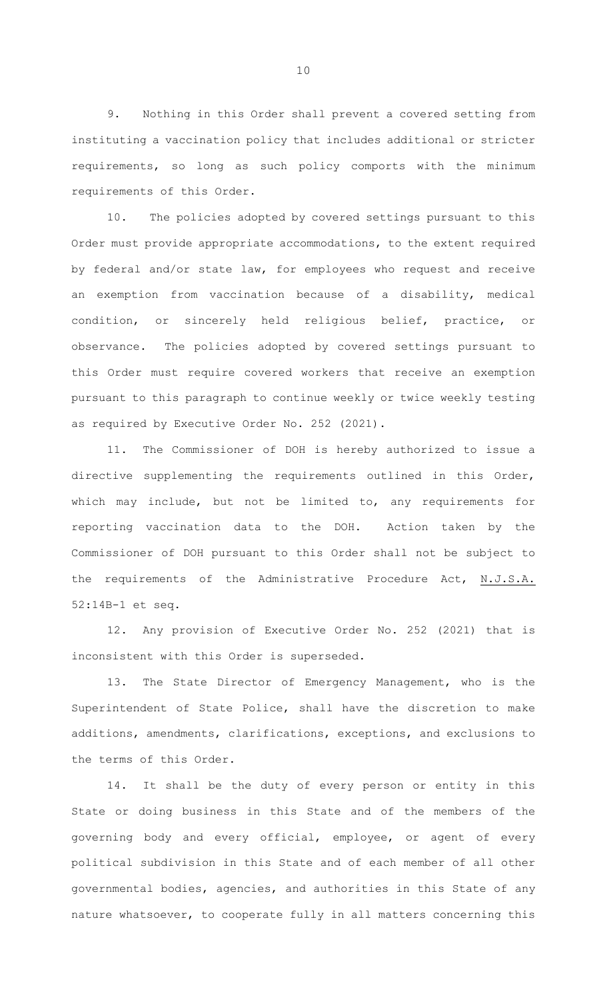9. Nothing in this Order shall prevent a covered setting from instituting a vaccination policy that includes additional or stricter requirements, so long as such policy comports with the minimum requirements of this Order.

10. The policies adopted by covered settings pursuant to this Order must provide appropriate accommodations, to the extent required by federal and/or state law, for employees who request and receive an exemption from vaccination because of a disability, medical condition, or sincerely held religious belief, practice, or observance. The policies adopted by covered settings pursuant to this Order must require covered workers that receive an exemption pursuant to this paragraph to continue weekly or twice weekly testing as required by Executive Order No. 252 (2021).

11. The Commissioner of DOH is hereby authorized to issue a directive supplementing the requirements outlined in this Order, which may include, but not be limited to, any requirements for reporting vaccination data to the DOH. Action taken by the Commissioner of DOH pursuant to this Order shall not be subject to the requirements of the Administrative Procedure Act, N.J.S.A. 52:14B-1 et seq.

12. Any provision of Executive Order No. 252 (2021) that is inconsistent with this Order is superseded.

13. The State Director of Emergency Management, who is the Superintendent of State Police, shall have the discretion to make additions, amendments, clarifications, exceptions, and exclusions to the terms of this Order.

14. It shall be the duty of every person or entity in this State or doing business in this State and of the members of the governing body and every official, employee, or agent of every political subdivision in this State and of each member of all other governmental bodies, agencies, and authorities in this State of any nature whatsoever, to cooperate fully in all matters concerning this